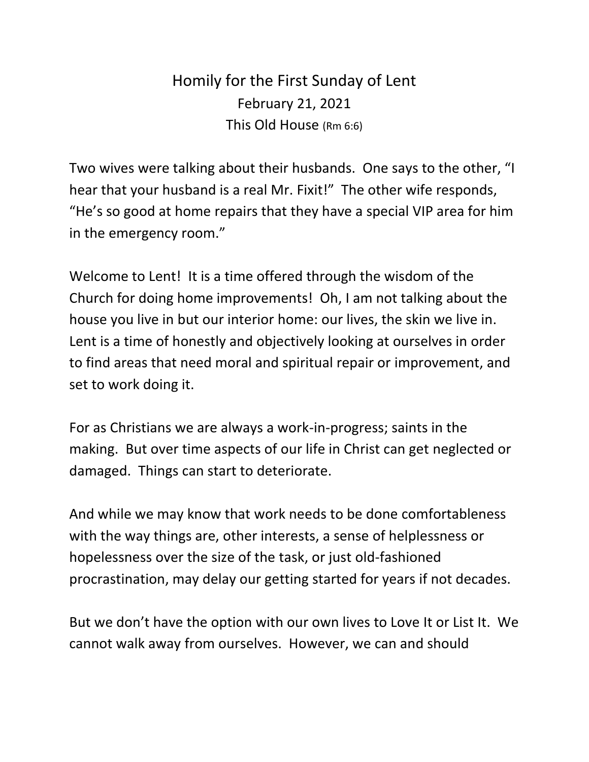## Homily for the First Sunday of Lent February 21, 2021 This Old House (Rm 6:6)

Two wives were talking about their husbands. One says to the other, "I hear that your husband is a real Mr. Fixit!" The other wife responds, "He's so good at home repairs that they have a special VIP area for him in the emergency room."

Welcome to Lent! It is a time offered through the wisdom of the Church for doing home improvements! Oh, I am not talking about the house you live in but our interior home: our lives, the skin we live in. Lent is a time of honestly and objectively looking at ourselves in order to find areas that need moral and spiritual repair or improvement, and set to work doing it.

For as Christians we are always a work-in-progress; saints in the making. But over time aspects of our life in Christ can get neglected or damaged. Things can start to deteriorate.

And while we may know that work needs to be done comfortableness with the way things are, other interests, a sense of helplessness or hopelessness over the size of the task, or just old-fashioned procrastination, may delay our getting started for years if not decades.

But we don't have the option with our own lives to Love It or List It. We cannot walk away from ourselves. However, we can and should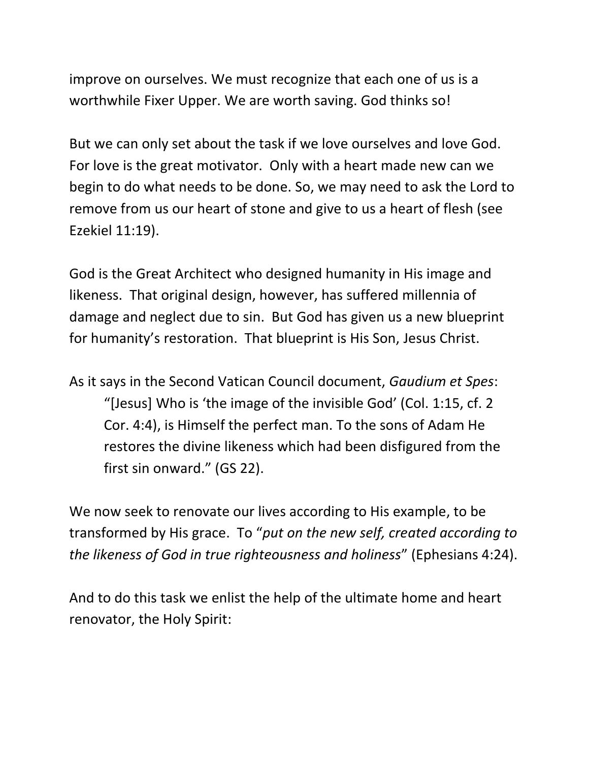improve on ourselves. We must recognize that each one of us is a worthwhile Fixer Upper. We are worth saving. God thinks so!

But we can only set about the task if we love ourselves and love God. For love is the great motivator. Only with a heart made new can we begin to do what needs to be done. So, we may need to ask the Lord to remove from us our heart of stone and give to us a heart of flesh (see Ezekiel 11:19).

God is the Great Architect who designed humanity in His image and likeness. That original design, however, has suffered millennia of damage and neglect due to sin. But God has given us a new blueprint for humanity's restoration. That blueprint is His Son, Jesus Christ.

As it says in the Second Vatican Council document, *Gaudium et Spes*: "[Jesus] Who is 'the image of the invisible God' (Col. 1:15, cf. 2 Cor. 4:4), is Himself the perfect man. To the sons of Adam He restores the divine likeness which had been disfigured from the first sin onward." (GS 22).

We now seek to renovate our lives according to His example, to be transformed by His grace. To "*put on the new self, created according to the likeness of God in true righteousness and holiness*" (Ephesians 4:24).

And to do this task we enlist the help of the ultimate home and heart renovator, the Holy Spirit: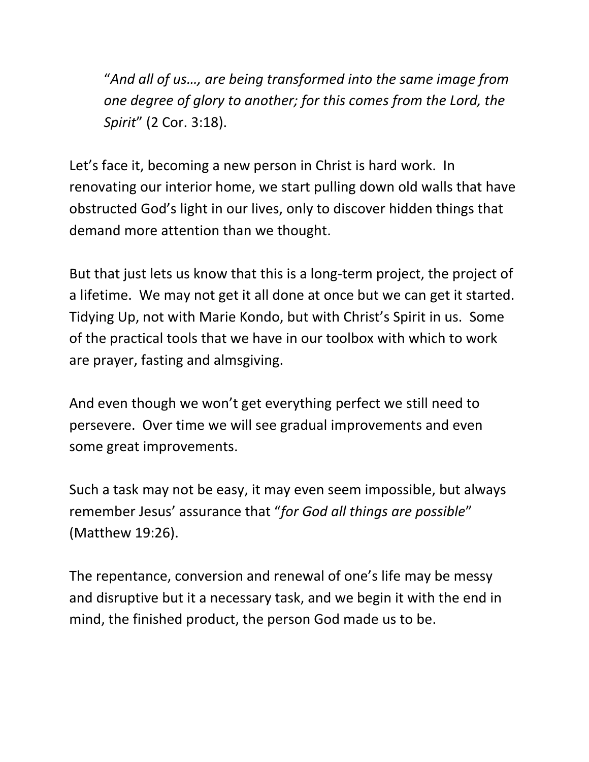"*And all of us…, are being transformed into the same image from one degree of glory to another; for this comes from the Lord, the Spirit*" (2 Cor. 3:18).

Let's face it, becoming a new person in Christ is hard work. In renovating our interior home, we start pulling down old walls that have obstructed God's light in our lives, only to discover hidden things that demand more attention than we thought.

But that just lets us know that this is a long-term project, the project of a lifetime. We may not get it all done at once but we can get it started. Tidying Up, not with Marie Kondo, but with Christ's Spirit in us. Some of the practical tools that we have in our toolbox with which to work are prayer, fasting and almsgiving.

And even though we won't get everything perfect we still need to persevere. Over time we will see gradual improvements and even some great improvements.

Such a task may not be easy, it may even seem impossible, but always remember Jesus' assurance that "*for God all things are possible*" (Matthew 19:26).

The repentance, conversion and renewal of one's life may be messy and disruptive but it a necessary task, and we begin it with the end in mind, the finished product, the person God made us to be.